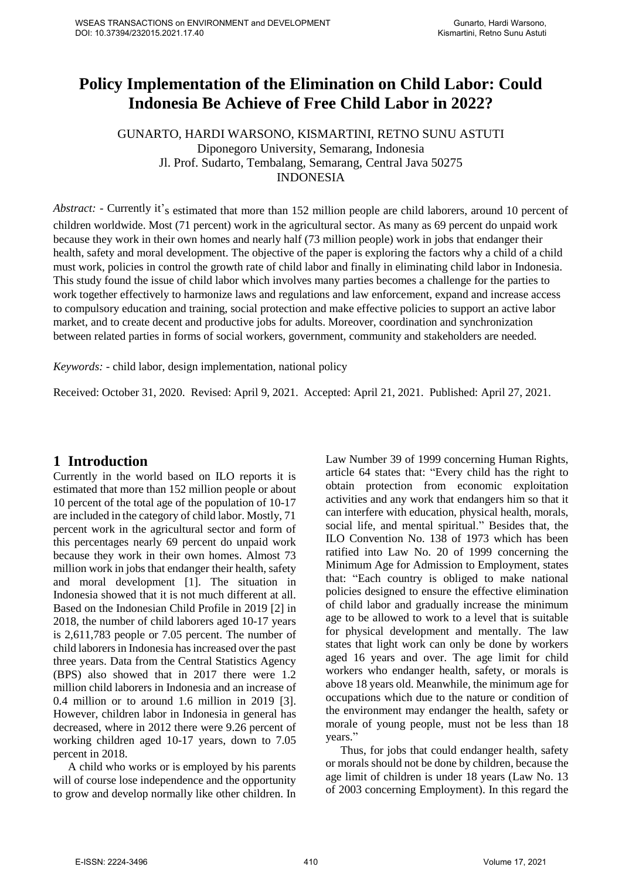# **Policy Implementation of the Elimination on Child Labor: Could Indonesia Be Achieve of Free Child Labor in 2022?**

GUNARTO, HARDI WARSONO, KISMARTINI, RETNO SUNU ASTUTI Diponegoro University, Semarang, Indonesia Jl. Prof. Sudarto, Tembalang, Semarang, Central Java 50275 INDONESIA

*Abstract: -* Currently it's estimated that more than 152 million people are child laborers, around 10 percent of children worldwide. Most (71 percent) work in the agricultural sector. As many as 69 percent do unpaid work because they work in their own homes and nearly half (73 million people) work in jobs that endanger their health, safety and moral development. The objective of the paper is exploring the factors why a child of a child must work, policies in control the growth rate of child labor and finally in eliminating child labor in Indonesia. This study found the issue of child labor which involves many parties becomes a challenge for the parties to work together effectively to harmonize laws and regulations and law enforcement, expand and increase access to compulsory education and training, social protection and make effective policies to support an active labor market, and to create decent and productive jobs for adults. Moreover, coordination and synchronization between related parties in forms of social workers, government, community and stakeholders are needed.

*Keywords: -* child labor, design implementation, national policy

Received: October 31, 2020. Revised: April 9, 2021. Accepted: April 21, 2021. Published: April 27, 2021.

### **1 Introduction**

Currently in the world based on ILO reports it is estimated that more than 152 million people or about 10 percent of the total age of the population of 10-17 are included in the category of child labor. Mostly, 71 percent work in the agricultural sector and form of this percentages nearly 69 percent do unpaid work because they work in their own homes. Almost 73 million work in jobs that endanger their health, safety and moral development [1]. The situation in Indonesia showed that it is not much different at all. Based on the Indonesian Child Profile in 2019 [2] in 2018, the number of child laborers aged 10-17 years is 2,611,783 people or 7.05 percent. The number of child laborersin Indonesia hasincreased over the past three years. Data from the Central Statistics Agency (BPS) also showed that in 2017 there were 1.2 million child laborers in Indonesia and an increase of 0.4 million or to around 1.6 million in 2019 [3]. However, children labor in Indonesia in general has decreased, where in 2012 there were 9.26 percent of working children aged 10-17 years, down to 7.05 percent in 2018.

A child who works or is employed by his parents will of course lose independence and the opportunity to grow and develop normally like other children. In Law Number 39 of 1999 concerning Human Rights, article 64 states that: "Every child has the right to obtain protection from economic exploitation activities and any work that endangers him so that it can interfere with education, physical health, morals, social life, and mental spiritual." Besides that, the ILO Convention No. 138 of 1973 which has been ratified into Law No. 20 of 1999 concerning the Minimum Age for Admission to Employment, states that: "Each country is obliged to make national policies designed to ensure the effective elimination of child labor and gradually increase the minimum age to be allowed to work to a level that is suitable for physical development and mentally. The law states that light work can only be done by workers aged 16 years and over. The age limit for child workers who endanger health, safety, or morals is above 18 years old. Meanwhile, the minimum age for occupations which due to the nature or condition of the environment may endanger the health, safety or morale of young people, must not be less than 18 years."

Thus, for jobs that could endanger health, safety or morals should not be done by children, because the age limit of children is under 18 years (Law No. 13 of 2003 concerning Employment). In this regard the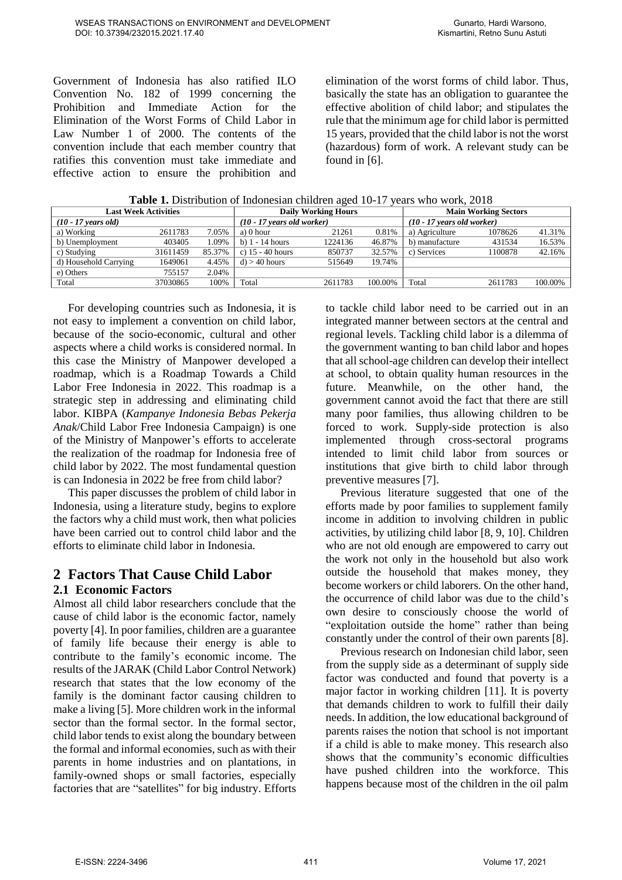Government of Indonesia has also ratified ILO Convention No. 182 of 1999 concerning the Prohibition and Immediate Action for the Elimination of the Worst Forms of Child Labor in Law Number 1 of 2000. The contents of the convention include that each member country that ratifies this convention must take immediate and effective action to ensure the prohibition and

elimination of the worst forms of child labor. Thus, basically the state has an obligation to guarantee the effective abolition of child labor; and stipulates the rule that the minimum age for child labor is permitted 15 years, provided that the child labor is not the worst (hazardous) form of work. A relevant study can be found in [6].

| <b>Last Week Activities</b> | <b>Daily Working Hours</b> |        |                              | <b>Main Working Sectors</b> |         |                              |         |         |
|-----------------------------|----------------------------|--------|------------------------------|-----------------------------|---------|------------------------------|---------|---------|
| $(10 - 17$ years old)       |                            |        | $(10 - 17$ years old worker) |                             |         | $(10 - 17$ years old worker) |         |         |
| a) Working                  | 2611783                    | 7.05%  | a) 0 hour                    | 21261                       | 0.81%   | a) Agriculture               | 1078626 | 41.31%  |
| b) Unemployment             | 403405                     | 1.09%  | b) $1 - 14$ hours            | 1224136                     | 46.87%  | b) manufacture               | 431534  | 16.53%  |
| c) Studying                 | 31611459                   | 85.37% | c) $15 - 40$ hours           | 850737                      | 32.57%  | c) Services                  | 1100878 | 42.16%  |
| d) Household Carrying       | 1649061                    | 4.45%  | $d$ ) > 40 hours             | 515649                      | 19.74%  |                              |         |         |
| e) Others                   | 755157                     | 2.04%  |                              |                             |         |                              |         |         |
| Total                       | 37030865                   | 100%   | Total                        | 2611783                     | 100.00% | Total                        | 2611783 | 100.00% |

For developing countries such as Indonesia, it is not easy to implement a convention on child labor, because of the socio-economic, cultural and other aspects where a child works is considered normal. In this case the Ministry of Manpower developed a roadmap, which is a Roadmap Towards a Child Labor Free Indonesia in 2022. This roadmap is a strategic step in addressing and eliminating child labor. KIBPA (*Kampanye Indonesia Bebas Pekerja Anak*/Child Labor Free Indonesia Campaign) is one of the Ministry of Manpower's efforts to accelerate the realization of the roadmap for Indonesia free of child labor by 2022. The most fundamental question is can Indonesia in 2022 be free from child labor?

This paper discusses the problem of child labor in Indonesia, using a literature study, begins to explore the factors why a child must work, then what policies have been carried out to control child labor and the efforts to eliminate child labor in Indonesia.

# **2 Factors That Cause Child Labor**

#### **2.1 Economic Factors**

Almost all child labor researchers conclude that the cause of child labor is the economic factor, namely poverty [4]. In poor families, children are a guarantee of family life because their energy is able to contribute to the family's economic income. The results of the JARAK (Child Labor Control Network) research that states that the low economy of the family is the dominant factor causing children to make a living [5]. More children work in the informal sector than the formal sector. In the formal sector, child labor tends to exist along the boundary between the formal and informal economies, such as with their parents in home industries and on plantations, in family-owned shops or small factories, especially factories that are "satellites" for big industry. Efforts

to tackle child labor need to be carried out in an integrated manner between sectors at the central and regional levels. Tackling child labor is a dilemma of the government wanting to ban child labor and hopes that all school-age children can develop their intellect at school, to obtain quality human resources in the future. Meanwhile, on the other hand, the government cannot avoid the fact that there are still many poor families, thus allowing children to be forced to work. Supply-side protection is also implemented through cross-sectoral programs intended to limit child labor from sources or institutions that give birth to child labor through preventive measures [7].

Previous literature suggested that one of the efforts made by poor families to supplement family income in addition to involving children in public activities, by utilizing child labor [8, 9, 10]. Children who are not old enough are empowered to carry out the work not only in the household but also work outside the household that makes money, they become workers or child laborers. On the other hand, the occurrence of child labor was due to the child's own desire to consciously choose the world of "exploitation outside the home" rather than being constantly under the control of their own parents [8].

Previous research on Indonesian child labor, seen from the supply side as a determinant of supply side factor was conducted and found that poverty is a major factor in working children [11]. It is poverty that demands children to work to fulfill their daily needs. In addition, the low educational background of parents raises the notion that school is not important if a child is able to make money. This research also shows that the community's economic difficulties have pushed children into the workforce. This happens because most of the children in the oil palm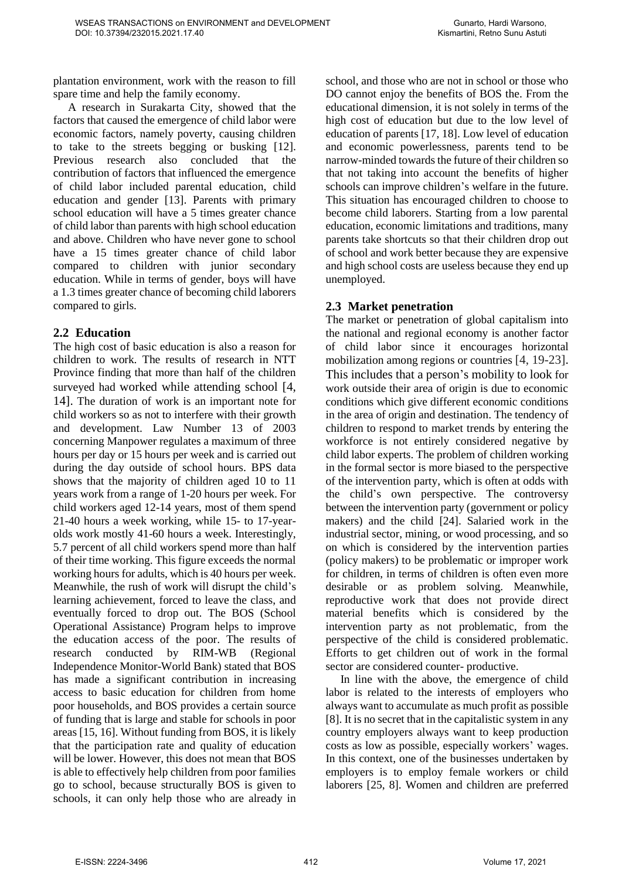plantation environment, work with the reason to fill spare time and help the family economy.

A research in Surakarta City, showed that the factors that caused the emergence of child labor were economic factors, namely poverty, causing children to take to the streets begging or busking [12]. Previous research also concluded that the contribution of factors that influenced the emergence of child labor included parental education, child education and gender [13]. Parents with primary school education will have a 5 times greater chance of child labor than parents with high school education and above. Children who have never gone to school have a 15 times greater chance of child labor compared to children with junior secondary education. While in terms of gender, boys will have a 1.3 times greater chance of becoming child laborers compared to girls.

#### **2.2 Education**

The high cost of basic education is also a reason for children to work. The results of research in NTT Province finding that more than half of the children surveyed had worked while attending school [4, 14]. The duration of work is an important note for child workers so as not to interfere with their growth and development. Law Number 13 of 2003 concerning Manpower regulates a maximum of three hours per day or 15 hours per week and is carried out during the day outside of school hours. BPS data shows that the majority of children aged 10 to 11 years work from a range of 1-20 hours per week. For child workers aged 12-14 years, most of them spend 21-40 hours a week working, while 15- to 17-yearolds work mostly 41-60 hours a week. Interestingly, 5.7 percent of all child workers spend more than half of their time working. This figure exceeds the normal working hours for adults, which is 40 hours per week. Meanwhile, the rush of work will disrupt the child's learning achievement, forced to leave the class, and eventually forced to drop out. The BOS (School Operational Assistance) Program helps to improve the education access of the poor. The results of research conducted by RIM-WB (Regional Independence Monitor-World Bank) stated that BOS has made a significant contribution in increasing access to basic education for children from home poor households, and BOS provides a certain source of funding that is large and stable for schools in poor areas [15, 16]. Without funding from BOS, it is likely that the participation rate and quality of education will be lower. However, this does not mean that BOS is able to effectively help children from poor families go to school, because structurally BOS is given to schools, it can only help those who are already in

school, and those who are not in school or those who DO cannot enjoy the benefits of BOS the. From the educational dimension, it is not solely in terms of the high cost of education but due to the low level of education of parents [17, 18]. Low level of education and economic powerlessness, parents tend to be narrow-minded towards the future of their children so that not taking into account the benefits of higher schools can improve children's welfare in the future. This situation has encouraged children to choose to become child laborers. Starting from a low parental education, economic limitations and traditions, many parents take shortcuts so that their children drop out of school and work better because they are expensive and high school costs are useless because they end up unemployed.

### **2.3 Market penetration**

The market or penetration of global capitalism into the national and regional economy is another factor of child labor since it encourages horizontal mobilization among regions or countries [4, 19-23]. This includes that a person's mobility to look for work outside their area of origin is due to economic conditions which give different economic conditions in the area of origin and destination. The tendency of children to respond to market trends by entering the workforce is not entirely considered negative by child labor experts. The problem of children working in the formal sector is more biased to the perspective of the intervention party, which is often at odds with the child's own perspective. The controversy between the intervention party (government or policy makers) and the child [24]. Salaried work in the industrial sector, mining, or wood processing, and so on which is considered by the intervention parties (policy makers) to be problematic or improper work for children, in terms of children is often even more desirable or as problem solving. Meanwhile, reproductive work that does not provide direct material benefits which is considered by the intervention party as not problematic, from the perspective of the child is considered problematic. Efforts to get children out of work in the formal sector are considered counter- productive.

In line with the above, the emergence of child labor is related to the interests of employers who always want to accumulate as much profit as possible [8]. It is no secret that in the capitalistic system in any country employers always want to keep production costs as low as possible, especially workers' wages. In this context, one of the businesses undertaken by employers is to employ female workers or child laborers [25, 8]. Women and children are preferred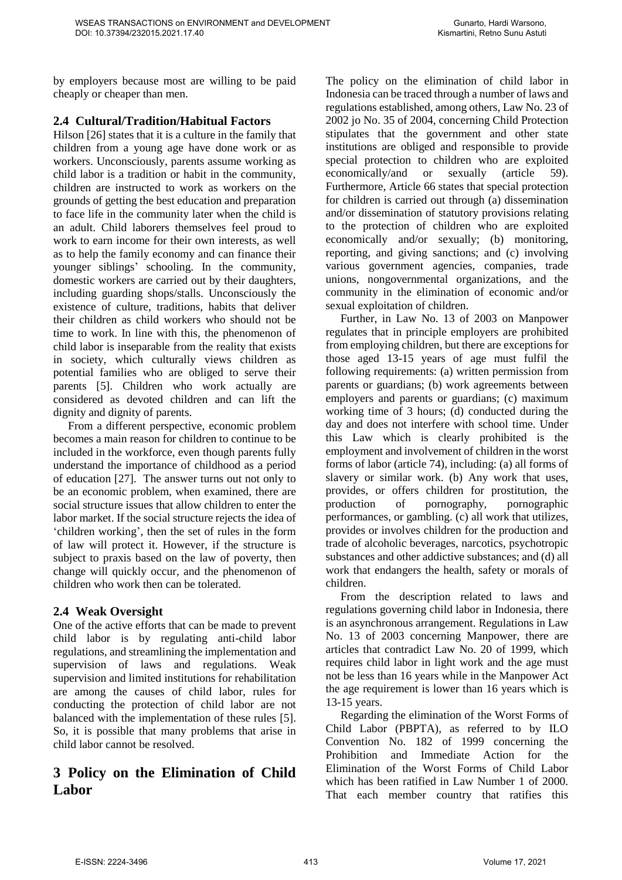by employers because most are willing to be paid cheaply or cheaper than men.

#### **2.4 Cultural/Tradition/Habitual Factors**

Hilson [26] states that it is a culture in the family that children from a young age have done work or as workers. Unconsciously, parents assume working as child labor is a tradition or habit in the community, children are instructed to work as workers on the grounds of getting the best education and preparation to face life in the community later when the child is an adult. Child laborers themselves feel proud to work to earn income for their own interests, as well as to help the family economy and can finance their younger siblings' schooling. In the community, domestic workers are carried out by their daughters, including guarding shops/stalls. Unconsciously the existence of culture, traditions, habits that deliver their children as child workers who should not be time to work. In line with this, the phenomenon of child labor is inseparable from the reality that exists in society, which culturally views children as potential families who are obliged to serve their parents [5]. Children who work actually are considered as devoted children and can lift the dignity and dignity of parents.

From a different perspective, economic problem becomes a main reason for children to continue to be included in the workforce, even though parents fully understand the importance of childhood as a period of education [27]. The answer turns out not only to be an economic problem, when examined, there are social structure issues that allow children to enter the labor market. If the social structure rejects the idea of 'children working', then the set of rules in the form of law will protect it. However, if the structure is subject to praxis based on the law of poverty, then change will quickly occur, and the phenomenon of children who work then can be tolerated.

#### **2.4 Weak Oversight**

One of the active efforts that can be made to prevent child labor is by regulating anti-child labor regulations, and streamlining the implementation and supervision of laws and regulations. Weak supervision and limited institutions for rehabilitation are among the causes of child labor, rules for conducting the protection of child labor are not balanced with the implementation of these rules [5]. So, it is possible that many problems that arise in child labor cannot be resolved.

# **3 Policy on the Elimination of Child Labor**

The policy on the elimination of child labor in Indonesia can be traced through a number of laws and regulations established, among others, Law No. 23 of 2002 jo No. 35 of 2004, concerning Child Protection stipulates that the government and other state institutions are obliged and responsible to provide special protection to children who are exploited economically/and or sexually (article 59). Furthermore, Article 66 states that special protection for children is carried out through (a) dissemination and/or dissemination of statutory provisions relating to the protection of children who are exploited economically and/or sexually; (b) monitoring, reporting, and giving sanctions; and (c) involving various government agencies, companies, trade unions, nongovernmental organizations, and the community in the elimination of economic and/or sexual exploitation of children.

Further, in Law No. 13 of 2003 on Manpower regulates that in principle employers are prohibited from employing children, but there are exceptions for those aged 13-15 years of age must fulfil the following requirements: (a) written permission from parents or guardians; (b) work agreements between employers and parents or guardians; (c) maximum working time of 3 hours; (d) conducted during the day and does not interfere with school time. Under this Law which is clearly prohibited is the employment and involvement of children in the worst forms of labor (article 74), including: (a) all forms of slavery or similar work. (b) Any work that uses, provides, or offers children for prostitution, the production of pornography, pornographic performances, or gambling. (c) all work that utilizes, provides or involves children for the production and trade of alcoholic beverages, narcotics, psychotropic substances and other addictive substances; and (d) all work that endangers the health, safety or morals of children.

From the description related to laws and regulations governing child labor in Indonesia, there is an asynchronous arrangement. Regulations in Law No. 13 of 2003 concerning Manpower, there are articles that contradict Law No. 20 of 1999, which requires child labor in light work and the age must not be less than 16 years while in the Manpower Act the age requirement is lower than 16 years which is 13-15 years.

Regarding the elimination of the Worst Forms of Child Labor (PBPTA), as referred to by ILO Convention No. 182 of 1999 concerning the Prohibition and Immediate Action for the Elimination of the Worst Forms of Child Labor which has been ratified in Law Number 1 of 2000. That each member country that ratifies this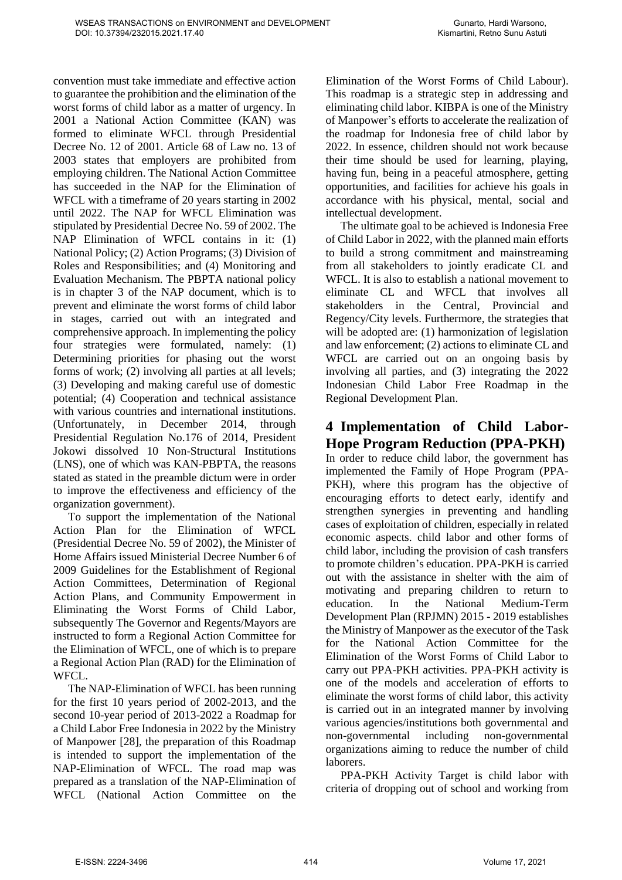convention must take immediate and effective action to guarantee the prohibition and the elimination of the worst forms of child labor as a matter of urgency. In 2001 a National Action Committee (KAN) was formed to eliminate WFCL through Presidential Decree No. 12 of 2001. Article 68 of Law no. 13 of 2003 states that employers are prohibited from employing children. The National Action Committee has succeeded in the NAP for the Elimination of WFCL with a timeframe of 20 years starting in 2002 until 2022. The NAP for WFCL Elimination was stipulated by Presidential Decree No. 59 of 2002. The NAP Elimination of WFCL contains in it: (1) National Policy; (2) Action Programs; (3) Division of Roles and Responsibilities; and (4) Monitoring and Evaluation Mechanism. The PBPTA national policy is in chapter 3 of the NAP document, which is to prevent and eliminate the worst forms of child labor in stages, carried out with an integrated and comprehensive approach. In implementing the policy four strategies were formulated, namely: (1) Determining priorities for phasing out the worst forms of work; (2) involving all parties at all levels; (3) Developing and making careful use of domestic potential; (4) Cooperation and technical assistance with various countries and international institutions. (Unfortunately, in December 2014, through Presidential Regulation No.176 of 2014, President Jokowi dissolved 10 Non-Structural Institutions (LNS), one of which was KAN-PBPTA, the reasons stated as stated in the preamble dictum were in order to improve the effectiveness and efficiency of the organization government).

To support the implementation of the National Action Plan for the Elimination of WFCL (Presidential Decree No. 59 of 2002), the Minister of Home Affairs issued Ministerial Decree Number 6 of 2009 Guidelines for the Establishment of Regional Action Committees, Determination of Regional Action Plans, and Community Empowerment in Eliminating the Worst Forms of Child Labor, subsequently The Governor and Regents/Mayors are instructed to form a Regional Action Committee for the Elimination of WFCL, one of which is to prepare a Regional Action Plan (RAD) for the Elimination of WFCL.

The NAP-Elimination of WFCL has been running for the first 10 years period of 2002-2013, and the second 10-year period of 2013-2022 a Roadmap for a Child Labor Free Indonesia in 2022 by the Ministry of Manpower [28], the preparation of this Roadmap is intended to support the implementation of the NAP-Elimination of WFCL. The road map was prepared as a translation of the NAP-Elimination of WFCL (National Action Committee on the

Elimination of the Worst Forms of Child Labour). This roadmap is a strategic step in addressing and eliminating child labor. KIBPA is one of the Ministry of Manpower's efforts to accelerate the realization of the roadmap for Indonesia free of child labor by 2022. In essence, children should not work because their time should be used for learning, playing, having fun, being in a peaceful atmosphere, getting opportunities, and facilities for achieve his goals in accordance with his physical, mental, social and intellectual development.

The ultimate goal to be achieved is Indonesia Free of Child Labor in 2022, with the planned main efforts to build a strong commitment and mainstreaming from all stakeholders to jointly eradicate CL and WFCL. It is also to establish a national movement to eliminate CL and WFCL that involves all stakeholders in the Central, Provincial and Regency/City levels. Furthermore, the strategies that will be adopted are: (1) harmonization of legislation and law enforcement; (2) actions to eliminate CL and WFCL are carried out on an ongoing basis by involving all parties, and (3) integrating the 2022 Indonesian Child Labor Free Roadmap in the Regional Development Plan.

# **4 Implementation of Child Labor-Hope Program Reduction (PPA-PKH)**

In order to reduce child labor, the government has implemented the Family of Hope Program (PPA-PKH), where this program has the objective of encouraging efforts to detect early, identify and strengthen synergies in preventing and handling cases of exploitation of children, especially in related economic aspects. child labor and other forms of child labor, including the provision of cash transfers to promote children's education. PPA-PKH is carried out with the assistance in shelter with the aim of motivating and preparing children to return to education. In the National Medium-Term Development Plan (RPJMN) 2015 - 2019 establishes the Ministry of Manpower as the executor of the Task for the National Action Committee for the Elimination of the Worst Forms of Child Labor to carry out PPA-PKH activities. PPA-PKH activity is one of the models and acceleration of efforts to eliminate the worst forms of child labor, this activity is carried out in an integrated manner by involving various agencies/institutions both governmental and non-governmental including non-governmental organizations aiming to reduce the number of child laborers.

PPA-PKH Activity Target is child labor with criteria of dropping out of school and working from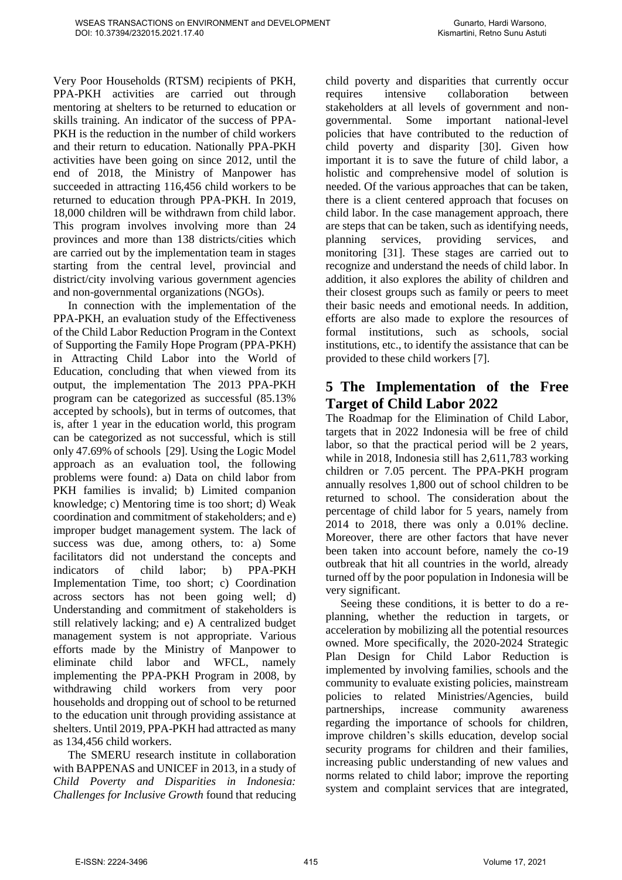Very Poor Households (RTSM) recipients of PKH, PPA-PKH activities are carried out through mentoring at shelters to be returned to education or skills training. An indicator of the success of PPA-PKH is the reduction in the number of child workers and their return to education. Nationally PPA-PKH activities have been going on since 2012, until the end of 2018, the Ministry of Manpower has succeeded in attracting 116,456 child workers to be returned to education through PPA-PKH. In 2019, 18,000 children will be withdrawn from child labor. This program involves involving more than 24 provinces and more than 138 districts/cities which are carried out by the implementation team in stages starting from the central level, provincial and district/city involving various government agencies and non-governmental organizations (NGOs).

In connection with the implementation of the PPA-PKH, an evaluation study of the Effectiveness of the Child Labor Reduction Program in the Context of Supporting the Family Hope Program (PPA-PKH) in Attracting Child Labor into the World of Education, concluding that when viewed from its output, the implementation The 2013 PPA-PKH program can be categorized as successful (85.13% accepted by schools), but in terms of outcomes, that is, after 1 year in the education world, this program can be categorized as not successful, which is still only 47.69% of schools [29]. Using the Logic Model approach as an evaluation tool, the following problems were found: a) Data on child labor from PKH families is invalid; b) Limited companion knowledge; c) Mentoring time is too short; d) Weak coordination and commitment of stakeholders; and e) improper budget management system. The lack of success was due, among others, to: a) Some facilitators did not understand the concepts and indicators of child labor; b) PPA-PKH Implementation Time, too short; c) Coordination across sectors has not been going well; d) Understanding and commitment of stakeholders is still relatively lacking; and e) A centralized budget management system is not appropriate. Various efforts made by the Ministry of Manpower to eliminate child labor and WFCL, namely implementing the PPA-PKH Program in 2008, by withdrawing child workers from very poor households and dropping out of school to be returned to the education unit through providing assistance at shelters. Until 2019, PPA-PKH had attracted as many as 134,456 child workers.

The SMERU research institute in collaboration with BAPPENAS and UNICEF in 2013, in a study of *Child Poverty and Disparities in Indonesia: Challenges for Inclusive Growth* found that reducing child poverty and disparities that currently occur requires intensive collaboration between stakeholders at all levels of government and nongovernmental. Some important national-level policies that have contributed to the reduction of child poverty and disparity [30]. Given how important it is to save the future of child labor, a holistic and comprehensive model of solution is needed. Of the various approaches that can be taken, there is a client centered approach that focuses on child labor. In the case management approach, there are steps that can be taken, such as identifying needs, planning services, providing services, and monitoring [31]. These stages are carried out to recognize and understand the needs of child labor. In addition, it also explores the ability of children and their closest groups such as family or peers to meet their basic needs and emotional needs. In addition, efforts are also made to explore the resources of formal institutions, such as schools, social institutions, etc., to identify the assistance that can be provided to these child workers [7].

## **5 The Implementation of the Free Target of Child Labor 2022**

The Roadmap for the Elimination of Child Labor, targets that in 2022 Indonesia will be free of child labor, so that the practical period will be 2 years, while in 2018, Indonesia still has 2,611,783 working children or 7.05 percent. The PPA-PKH program annually resolves 1,800 out of school children to be returned to school. The consideration about the percentage of child labor for 5 years, namely from 2014 to 2018, there was only a 0.01% decline. Moreover, there are other factors that have never been taken into account before, namely the co-19 outbreak that hit all countries in the world, already turned off by the poor population in Indonesia will be very significant.

Seeing these conditions, it is better to do a replanning, whether the reduction in targets, or acceleration by mobilizing all the potential resources owned. More specifically, the 2020-2024 Strategic Plan Design for Child Labor Reduction is implemented by involving families, schools and the community to evaluate existing policies, mainstream policies to related Ministries/Agencies, build partnerships, increase community awareness regarding the importance of schools for children, improve children's skills education, develop social security programs for children and their families, increasing public understanding of new values and norms related to child labor; improve the reporting system and complaint services that are integrated,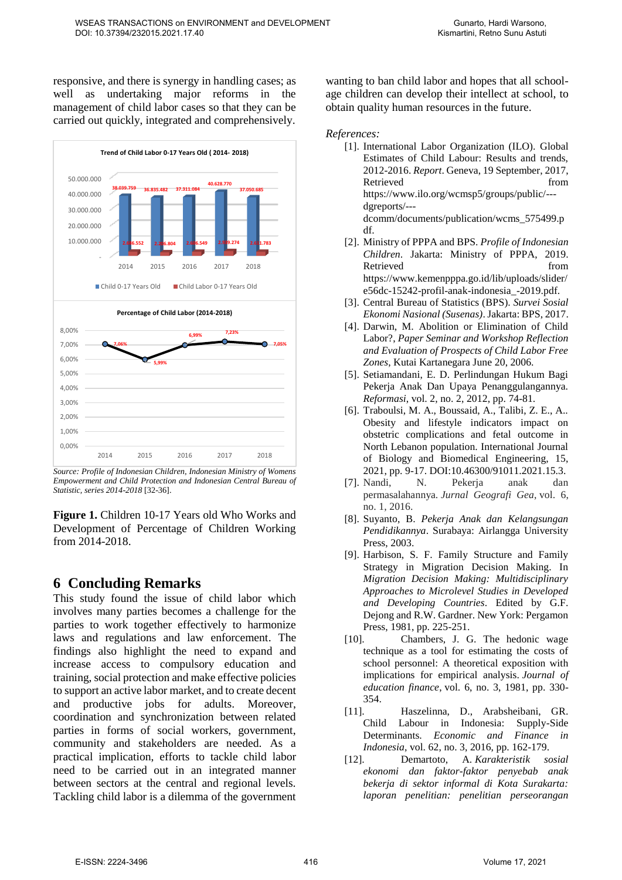responsive, and there is synergy in handling cases; as well as undertaking major reforms in the management of child labor cases so that they can be carried out quickly, integrated and comprehensively.



*Source: Profile of Indonesian Children, Indonesian Ministry of Womens Empowerment and Child Protection and Indonesian Central Bureau of Statistic, series 2014-2018* [32-36].

**Figure 1.** Children 10-17 Years old Who Works and Development of Percentage of Children Working from 2014-2018.

### **6 Concluding Remarks**

This study found the issue of child labor which involves many parties becomes a challenge for the parties to work together effectively to harmonize laws and regulations and law enforcement. The findings also highlight the need to expand and increase access to compulsory education and training, social protection and make effective policies to support an active labor market, and to create decent and productive jobs for adults. Moreover, coordination and synchronization between related parties in forms of social workers, government, community and stakeholders are needed. As a practical implication, efforts to tackle child labor need to be carried out in an integrated manner between sectors at the central and regional levels. Tackling child labor is a dilemma of the government wanting to ban child labor and hopes that all schoolage children can develop their intellect at school, to obtain quality human resources in the future.

*References:* 

- [1]. International Labor Organization (ILO). Global Estimates of Child Labour: Results and trends, 2012-2016. *Report*. Geneva, 19 September, 2017, Retrieved from  $\blacksquare$ [https://www.ilo.org/wcmsp5/groups/public/--](https://www.ilo.org/wcmsp5/groups/public/---dgreports/---dcomm/documents/publication/wcms_575499.pdf) [dgreports/--](https://www.ilo.org/wcmsp5/groups/public/---dgreports/---dcomm/documents/publication/wcms_575499.pdf) [dcomm/documents/publication/wcms\\_575499.p](https://www.ilo.org/wcmsp5/groups/public/---dgreports/---dcomm/documents/publication/wcms_575499.pdf) [df.](https://www.ilo.org/wcmsp5/groups/public/---dgreports/---dcomm/documents/publication/wcms_575499.pdf)
- [2]. Ministry of PPPA and BPS. *Profile of Indonesian Children*. Jakarta: Ministry of PPPA, 2019. Retrieved from [https://www.kemenpppa.go.id/lib/uploads/slider/](https://www.kemenpppa.go.id/lib/uploads/slider/e56dc-15242-profil-anak-indonesia_-2019.pdf) [e56dc-15242-profil-anak-indonesia\\_-2019.pdf.](https://www.kemenpppa.go.id/lib/uploads/slider/e56dc-15242-profil-anak-indonesia_-2019.pdf)
- [3]. Central Bureau of Statistics (BPS). *Survei Sosial Ekonomi Nasional (Susenas)*. Jakarta: BPS, 2017.
- [4]. Darwin, M. Abolition or Elimination of Child Labor?, *Paper Seminar and Workshop Reflection and Evaluation of Prospects of Child Labor Free Zones*, Kutai Kartanegara June 20, 2006.
- [5]. Setiamandani, E. D. Perlindungan Hukum Bagi Pekerja Anak Dan Upaya Penanggulangannya. *Reformasi*, vol. 2, no. 2, 2012, pp. 74-81.
- [6]. Traboulsi, M. A., Boussaid, A., Talibi, Z. E., A.. Obesity and lifestyle indicators impact on obstetric complications and fetal outcome in North Lebanon population. International Journal of Biology and Biomedical Engineering, 15, 2021, pp. 9-17. DOI:10.46300/91011.2021.15.3.
- [7]. Nandi, N. Pekerja anak dan permasalahannya. *Jurnal Geografi Gea*, vol. 6, no. 1, 2016.
- [8]. Suyanto, B. *Pekerja Anak dan Kelangsungan Pendidikannya*. Surabaya: Airlangga University Press, 2003.
- [9]. Harbison, S. F. Family Structure and Family Strategy in Migration Decision Making. In *Migration Decision Making: Multidisciplinary Approaches to Microlevel Studies in Developed and Developing Countries*. Edited by G.F. Dejong and R.W. Gardner. New York: Pergamon Press, 1981, pp. 225-251.
- [10]. Chambers, J. G. The hedonic wage technique as a tool for estimating the costs of school personnel: A theoretical exposition with implications for empirical analysis. *Journal of education finance*, vol. 6, no. 3, 1981, pp. 330- 354.
- [11]. Haszelinna, D., Arabsheibani, GR. Child Labour in Indonesia: Supply-Side Determinants. *Economic and Finance in Indonesia*, vol. 62, no. 3, 2016, pp. 162-179.
- [12]. Demartoto, A. *Karakteristik sosial ekonomi dan faktor-faktor penyebab anak bekerja di sektor informal di Kota Surakarta: laporan penelitian: penelitian perseorangan*